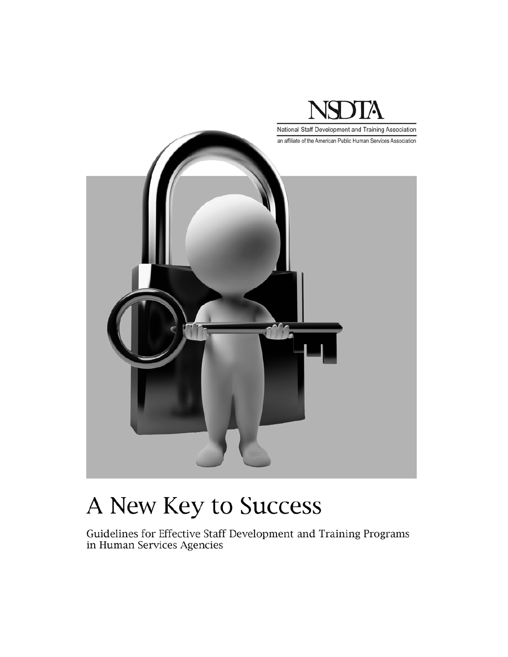

# A New Key to Success

Guidelines for Effective Staff Development and Training Programs in Human Services Agencies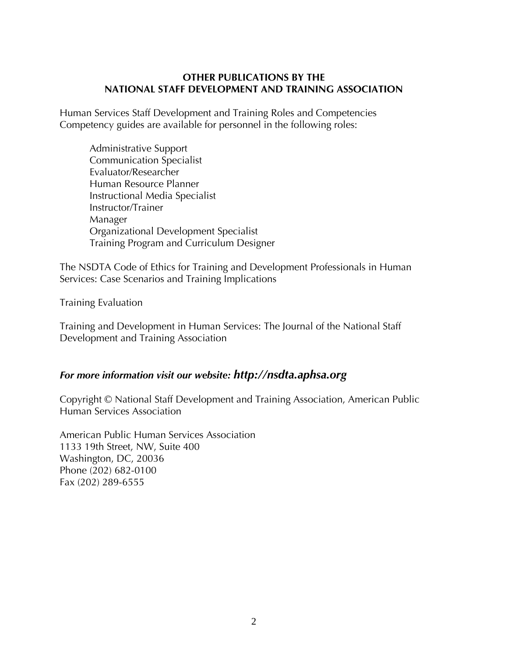#### **OTHER PUBLICATIONS BY THE NATIONAL STAFF DEVELOPMENT AND TRAINING ASSOCIATION**

Human Services Staff Development and Training Roles and Competencies Competency guides are available for personnel in the following roles:

 Administrative Support Communication Specialist Evaluator/Researcher Human Resource Planner Instructional Media Specialist Instructor/Trainer Manager Organizational Development Specialist Training Program and Curriculum Designer

The NSDTA Code of Ethics for Training and Development Professionals in Human Services: Case Scenarios and Training Implications

#### Training Evaluation

Training and Development in Human Services: The Journal of the National Staff Development and Training Association

## *For more information visit our website: http://nsdta.aphsa.org*

Copyright © National Staff Development and Training Association, American Public Human Services Association

American Public Human Services Association 1133 19th Street, NW, Suite 400 Washington, DC, 20036 Phone (202) 682-0100 Fax (202) 289-6555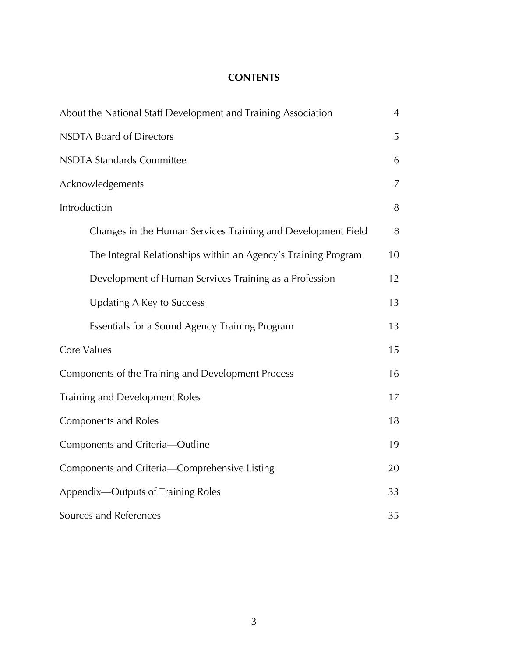#### **CONTENTS**

| About the National Staff Development and Training Association  |    |  |
|----------------------------------------------------------------|----|--|
| <b>NSDTA Board of Directors</b>                                |    |  |
| <b>NSDTA Standards Committee</b>                               |    |  |
| Acknowledgements                                               | 7  |  |
| Introduction                                                   | 8  |  |
| Changes in the Human Services Training and Development Field   | 8  |  |
| The Integral Relationships within an Agency's Training Program | 10 |  |
| Development of Human Services Training as a Profession         | 12 |  |
| Updating A Key to Success                                      | 13 |  |
| Essentials for a Sound Agency Training Program                 | 13 |  |
| Core Values                                                    | 15 |  |
| Components of the Training and Development Process             |    |  |
| Training and Development Roles                                 |    |  |
| Components and Roles                                           |    |  |
| Components and Criteria-Outline                                |    |  |
| Components and Criteria-Comprehensive Listing                  |    |  |
| Appendix-Outputs of Training Roles                             |    |  |
| Sources and References                                         |    |  |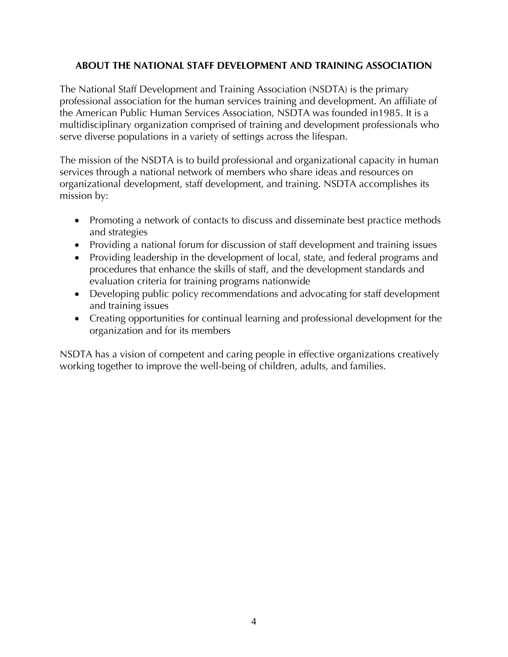#### **ABOUT THE NATIONAL STAFF DEVELOPMENT AND TRAINING ASSOCIATION**

The National Staff Development and Training Association (NSDTA) is the primary professional association for the human services training and development. An affiliate of the American Public Human Services Association, NSDTA was founded in1985. It is a multidisciplinary organization comprised of training and development professionals who serve diverse populations in a variety of settings across the lifespan.

The mission of the NSDTA is to build professional and organizational capacity in human services through a national network of members who share ideas and resources on organizational development, staff development, and training. NSDTA accomplishes its mission by:

- Promoting a network of contacts to discuss and disseminate best practice methods and strategies
- Providing a national forum for discussion of staff development and training issues
- Providing leadership in the development of local, state, and federal programs and procedures that enhance the skills of staff, and the development standards and evaluation criteria for training programs nationwide
- Developing public policy recommendations and advocating for staff development and training issues
- Creating opportunities for continual learning and professional development for the organization and for its members

NSDTA has a vision of competent and caring people in effective organizations creatively working together to improve the well-being of children, adults, and families.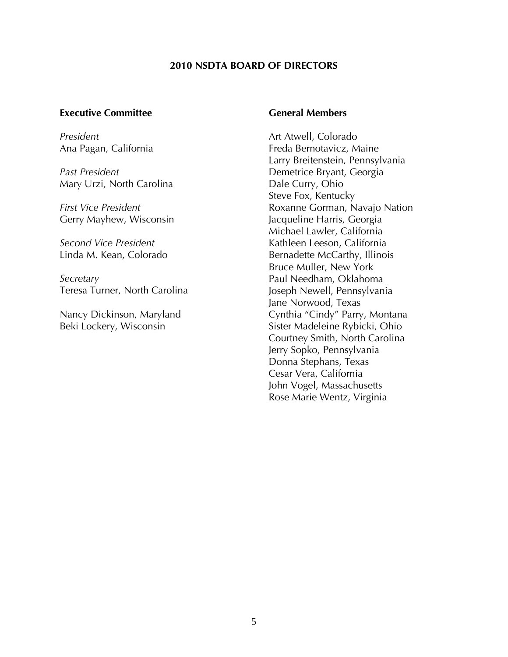#### **2010 NSDTA BOARD OF DIRECTORS**

#### **Executive Committee**

*President*  Ana Pagan, California

*Past President* Mary Urzi, North Carolina

*First Vice President* Gerry Mayhew, Wisconsin

*Second Vice President* Linda M. Kean, Colorado

*Secretary* Teresa Turner, North Carolina

Nancy Dickinson, Maryland Beki Lockery, Wisconsin

#### **General Members**

Art Atwell, Colorado Freda Bernotavicz, Maine Larry Breitenstein, Pennsylvania Demetrice Bryant, Georgia Dale Curry, Ohio Steve Fox, Kentucky Roxanne Gorman, Navajo Nation Jacqueline Harris, Georgia Michael Lawler, California Kathleen Leeson, California Bernadette McCarthy, Illinois Bruce Muller, New York Paul Needham, Oklahoma Joseph Newell, Pennsylvania Jane Norwood, Texas Cynthia "Cindy" Parry, Montana Sister Madeleine Rybicki, Ohio Courtney Smith, North Carolina Jerry Sopko, Pennsylvania Donna Stephans, Texas Cesar Vera, California John Vogel, Massachusetts Rose Marie Wentz, Virginia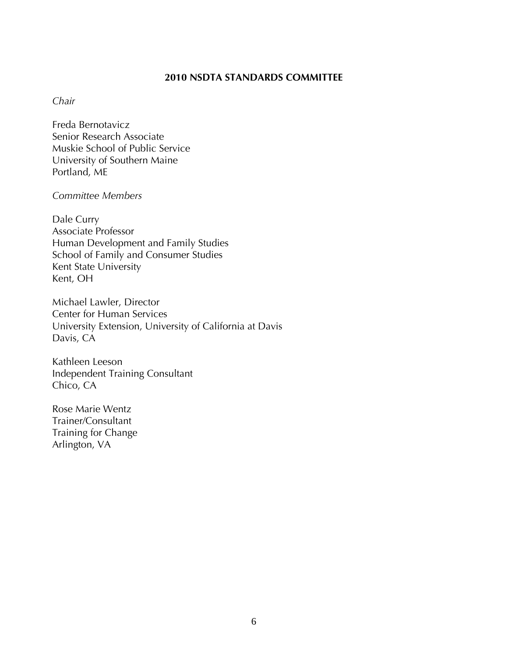#### **2010 NSDTA STANDARDS COMMITTEE**

#### *Chair*

Freda Bernotavicz Senior Research Associate Muskie School of Public Service University of Southern Maine Portland, ME

#### *Committee Members*

Dale Curry Associate Professor Human Development and Family Studies School of Family and Consumer Studies Kent State University Kent, OH

Michael Lawler, Director Center for Human Services University Extension, University of California at Davis Davis, CA

Kathleen Leeson Independent Training Consultant Chico, CA

Rose Marie Wentz Trainer/Consultant Training for Change Arlington, VA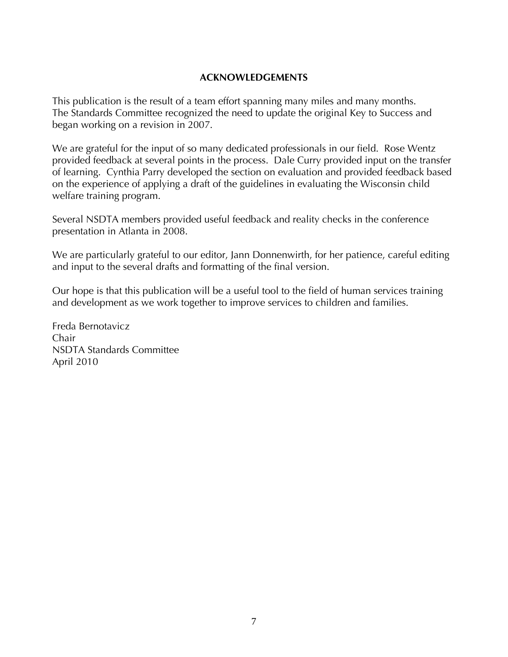#### **ACKNOWLEDGEMENTS**

This publication is the result of a team effort spanning many miles and many months. The Standards Committee recognized the need to update the original Key to Success and began working on a revision in 2007.

We are grateful for the input of so many dedicated professionals in our field. Rose Wentz provided feedback at several points in the process. Dale Curry provided input on the transfer of learning. Cynthia Parry developed the section on evaluation and provided feedback based on the experience of applying a draft of the guidelines in evaluating the Wisconsin child welfare training program.

Several NSDTA members provided useful feedback and reality checks in the conference presentation in Atlanta in 2008.

We are particularly grateful to our editor, Jann Donnenwirth, for her patience, careful editing and input to the several drafts and formatting of the final version.

Our hope is that this publication will be a useful tool to the field of human services training and development as we work together to improve services to children and families.

Freda Bernotavicz Chair NSDTA Standards Committee April 2010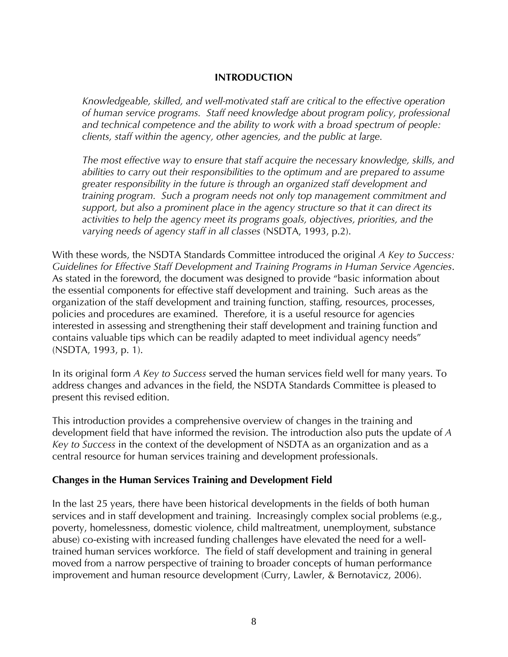#### **INTRODUCTION**

*Knowledgeable, skilled, and well-motivated staff are critical to the effective operation of human service programs. Staff need knowledge about program policy, professional and technical competence and the ability to work with a broad spectrum of people: clients, staff within the agency, other agencies, and the public at large.* 

*The most effective way to ensure that staff acquire the necessary knowledge, skills, and abilities to carry out their responsibilities to the optimum and are prepared to assume greater responsibility in the future is through an organized staff development and training program. Such a program needs not only top management commitment and support, but also a prominent place in the agency structure so that it can direct its activities to help the agency meet its programs goals, objectives, priorities, and the varying needs of agency staff in all classes* (NSDTA, 1993, p.2).

With these words, the NSDTA Standards Committee introduced the original *A Key to Success: Guidelines for Effective Staff Development and Training Programs in Human Service Agencies*. As stated in the foreword, the document was designed to provide "basic information about the essential components for effective staff development and training. Such areas as the organization of the staff development and training function, staffing, resources, processes, policies and procedures are examined. Therefore, it is a useful resource for agencies interested in assessing and strengthening their staff development and training function and contains valuable tips which can be readily adapted to meet individual agency needs" (NSDTA, 1993, p. 1).

In its original form *A Key to Success* served the human services field well for many years. To address changes and advances in the field, the NSDTA Standards Committee is pleased to present this revised edition.

This introduction provides a comprehensive overview of changes in the training and development field that have informed the revision. The introduction also puts the update of *A Key to Success* in the context of the development of NSDTA as an organization and as a central resource for human services training and development professionals.

#### **Changes in the Human Services Training and Development Field**

In the last 25 years, there have been historical developments in the fields of both human services and in staff development and training. Increasingly complex social problems (e.g., poverty, homelessness, domestic violence, child maltreatment, unemployment, substance abuse) co-existing with increased funding challenges have elevated the need for a welltrained human services workforce. The field of staff development and training in general moved from a narrow perspective of training to broader concepts of human performance improvement and human resource development (Curry, Lawler, & Bernotavicz, 2006).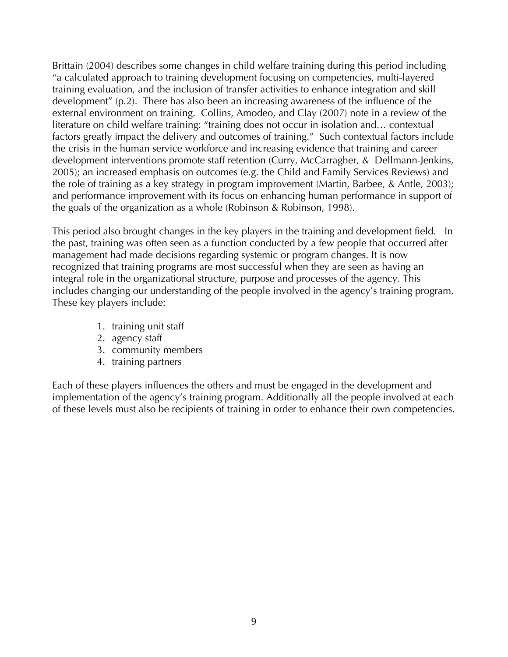Brittain (2004) describes some changes in child welfare training during this period including "a calculated approach to training development focusing on competencies, multi-layered training evaluation, and the inclusion of transfer activities to enhance integration and skill development" (p.2). There has also been an increasing awareness of the influence of the external environment on training. Collins, Amodeo, and Clay (2007) note in a review of the literature on child welfare training: "training does not occur in isolation and… contextual factors greatly impact the delivery and outcomes of training." Such contextual factors include the crisis in the human service workforce and increasing evidence that training and career development interventions promote staff retention (Curry, McCarragher, & Dellmann-Jenkins, 2005); an increased emphasis on outcomes (e.g. the Child and Family Services Reviews) and the role of training as a key strategy in program improvement (Martin, Barbee, & Antle, 2003); and performance improvement with its focus on enhancing human performance in support of the goals of the organization as a whole (Robinson & Robinson, 1998).

This period also brought changes in the key players in the training and development field. In the past, training was often seen as a function conducted by a few people that occurred after management had made decisions regarding systemic or program changes. It is now recognized that training programs are most successful when they are seen as having an integral role in the organizational structure, purpose and processes of the agency. This includes changing our understanding of the people involved in the agency's training program. These key players include:

- 1. training unit staff
- 2. agency staff
- 3. community members
- 4. training partners

Each of these players influences the others and must be engaged in the development and implementation of the agency's training program. Additionally all the people involved at each of these levels must also be recipients of training in order to enhance their own competencies.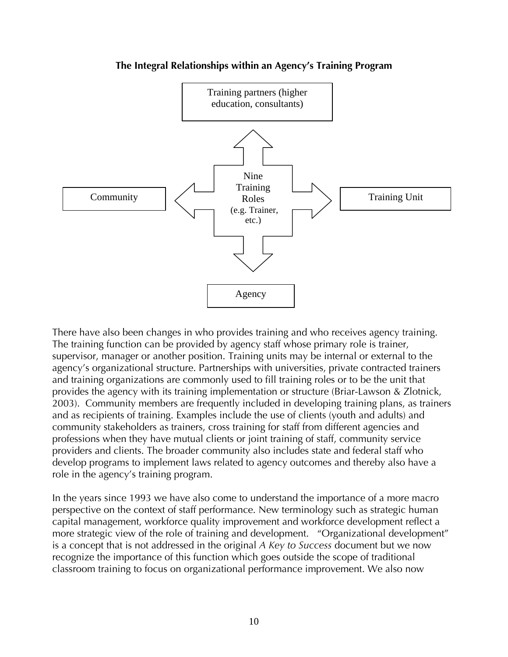

#### **The Integral Relationships within an Agency's Training Program**

There have also been changes in who provides training and who receives agency training. The training function can be provided by agency staff whose primary role is trainer, supervisor, manager or another position. Training units may be internal or external to the agency's organizational structure. Partnerships with universities, private contracted trainers and training organizations are commonly used to fill training roles or to be the unit that provides the agency with its training implementation or structure (Briar-Lawson & Zlotnick, 2003). Community members are frequently included in developing training plans, as trainers and as recipients of training. Examples include the use of clients (youth and adults) and community stakeholders as trainers, cross training for staff from different agencies and professions when they have mutual clients or joint training of staff, community service providers and clients. The broader community also includes state and federal staff who develop programs to implement laws related to agency outcomes and thereby also have a role in the agency's training program.

In the years since 1993 we have also come to understand the importance of a more macro perspective on the context of staff performance. New terminology such as strategic human capital management, workforce quality improvement and workforce development reflect a more strategic view of the role of training and development. "Organizational development" is a concept that is not addressed in the original *A Key to Success* document but we now recognize the importance of this function which goes outside the scope of traditional classroom training to focus on organizational performance improvement. We also now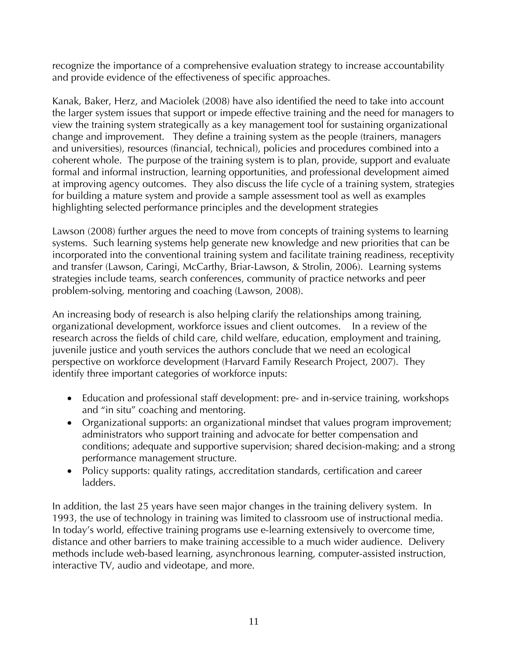recognize the importance of a comprehensive evaluation strategy to increase accountability and provide evidence of the effectiveness of specific approaches.

Kanak, Baker, Herz, and Maciolek (2008) have also identified the need to take into account the larger system issues that support or impede effective training and the need for managers to view the training system strategically as a key management tool for sustaining organizational change and improvement. They define a training system as the people (trainers, managers and universities), resources (financial, technical), policies and procedures combined into a coherent whole. The purpose of the training system is to plan, provide, support and evaluate formal and informal instruction, learning opportunities, and professional development aimed at improving agency outcomes. They also discuss the life cycle of a training system, strategies for building a mature system and provide a sample assessment tool as well as examples highlighting selected performance principles and the development strategies

Lawson (2008) further argues the need to move from concepts of training systems to learning systems. Such learning systems help generate new knowledge and new priorities that can be incorporated into the conventional training system and facilitate training readiness, receptivity and transfer (Lawson, Caringi, McCarthy, Briar-Lawson, & Strolin, 2006). Learning systems strategies include teams, search conferences, community of practice networks and peer problem-solving, mentoring and coaching (Lawson, 2008).

An increasing body of research is also helping clarify the relationships among training, organizational development, workforce issues and client outcomes. In a review of the research across the fields of child care, child welfare, education, employment and training, juvenile justice and youth services the authors conclude that we need an ecological perspective on workforce development (Harvard Family Research Project, 2007). They identify three important categories of workforce inputs:

- Education and professional staff development: pre- and in-service training, workshops and "in situ" coaching and mentoring.
- Organizational supports: an organizational mindset that values program improvement; administrators who support training and advocate for better compensation and conditions; adequate and supportive supervision; shared decision-making; and a strong performance management structure.
- Policy supports: quality ratings, accreditation standards, certification and career ladders.

In addition, the last 25 years have seen major changes in the training delivery system. In 1993, the use of technology in training was limited to classroom use of instructional media. In today's world, effective training programs use e-learning extensively to overcome time, distance and other barriers to make training accessible to a much wider audience. Delivery methods include web-based learning, asynchronous learning, computer-assisted instruction, interactive TV, audio and videotape, and more.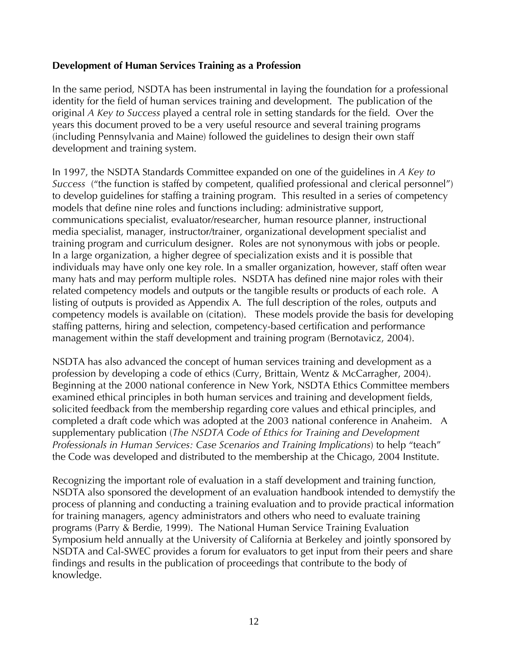#### **Development of Human Services Training as a Profession**

In the same period, NSDTA has been instrumental in laying the foundation for a professional identity for the field of human services training and development. The publication of the original *A Key to Success* played a central role in setting standards for the field. Over the years this document proved to be a very useful resource and several training programs (including Pennsylvania and Maine) followed the guidelines to design their own staff development and training system.

In 1997, the NSDTA Standards Committee expanded on one of the guidelines in *A Key to Success* ("the function is staffed by competent, qualified professional and clerical personnel") to develop guidelines for staffing a training program. This resulted in a series of competency models that define nine roles and functions including: administrative support, communications specialist, evaluator/researcher, human resource planner, instructional media specialist, manager, instructor/trainer, organizational development specialist and training program and curriculum designer. Roles are not synonymous with jobs or people. In a large organization, a higher degree of specialization exists and it is possible that individuals may have only one key role. In a smaller organization, however, staff often wear many hats and may perform multiple roles. NSDTA has defined nine major roles with their related competency models and outputs or the tangible results or products of each role. A listing of outputs is provided as Appendix A. The full description of the roles, outputs and competency models is available on (citation). These models provide the basis for developing staffing patterns, hiring and selection, competency-based certification and performance management within the staff development and training program (Bernotavicz, 2004).

NSDTA has also advanced the concept of human services training and development as a profession by developing a code of ethics (Curry, Brittain, Wentz & McCarragher, 2004). Beginning at the 2000 national conference in New York, NSDTA Ethics Committee members examined ethical principles in both human services and training and development fields, solicited feedback from the membership regarding core values and ethical principles, and completed a draft code which was adopted at the 2003 national conference in Anaheim. A supplementary publication (*The NSDTA Code of Ethics for Training and Development Professionals in Human Services: Case Scenarios and Training Implications*) to help "teach" the Code was developed and distributed to the membership at the Chicago, 2004 Institute.

Recognizing the important role of evaluation in a staff development and training function, NSDTA also sponsored the development of an evaluation handbook intended to demystify the process of planning and conducting a training evaluation and to provide practical information for training managers, agency administrators and others who need to evaluate training programs (Parry & Berdie, 1999). The National Human Service Training Evaluation Symposium held annually at the University of California at Berkeley and jointly sponsored by NSDTA and Cal-SWEC provides a forum for evaluators to get input from their peers and share findings and results in the publication of proceedings that contribute to the body of knowledge.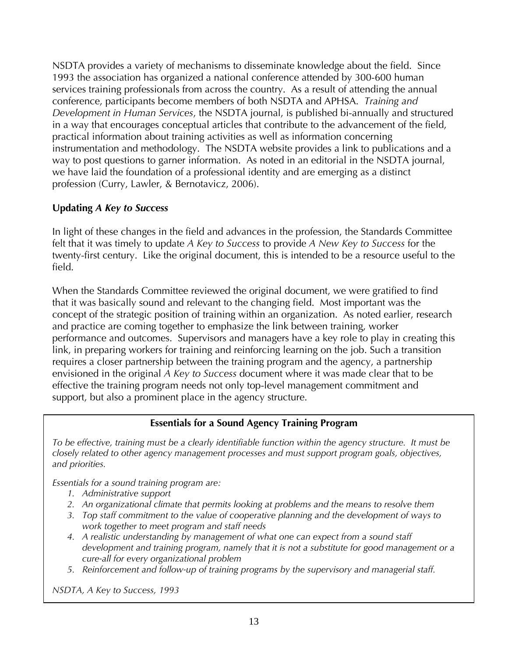NSDTA provides a variety of mechanisms to disseminate knowledge about the field. Since 1993 the association has organized a national conference attended by 300-600 human services training professionals from across the country. As a result of attending the annual conference, participants become members of both NSDTA and APHSA. *Training and Development in Human Services*, the NSDTA journal, is published bi-annually and structured in a way that encourages conceptual articles that contribute to the advancement of the field, practical information about training activities as well as information concerning instrumentation and methodology. The NSDTA website provides a link to publications and a way to post questions to garner information. As noted in an editorial in the NSDTA journal, we have laid the foundation of a professional identity and are emerging as a distinct profession (Curry, Lawler, & Bernotavicz, 2006).

#### **Updating** *A Key to Success*

In light of these changes in the field and advances in the profession, the Standards Committee felt that it was timely to update *A Key to Success* to provide *A New Key to Success* for the twenty-first century. Like the original document, this is intended to be a resource useful to the field.

When the Standards Committee reviewed the original document, we were gratified to find that it was basically sound and relevant to the changing field. Most important was the concept of the strategic position of training within an organization. As noted earlier, research and practice are coming together to emphasize the link between training, worker performance and outcomes. Supervisors and managers have a key role to play in creating this link, in preparing workers for training and reinforcing learning on the job. Such a transition requires a closer partnership between the training program and the agency, a partnership envisioned in the original *A Key to Success* document where it was made clear that to be effective the training program needs not only top-level management commitment and support, but also a prominent place in the agency structure.

#### **Essentials for a Sound Agency Training Program**

*To be effective, training must be a clearly identifiable function within the agency structure. It must be closely related to other agency management processes and must support program goals, objectives, and priorities.* 

*Essentials for a sound training program are:* 

- *1. Administrative support*
- *2. An organizational climate that permits looking at problems and the means to resolve them*
- *3. Top staff commitment to the value of cooperative planning and the development of ways to work together to meet program and staff needs*
- *4. A realistic understanding by management of what one can expect from a sound staff development and training program, namely that it is not a substitute for good management or a cure-all for every organizational problem*
- *5. Reinforcement and follow-up of training programs by the supervisory and managerial staff.*

*NSDTA, A Key to Success, 1993*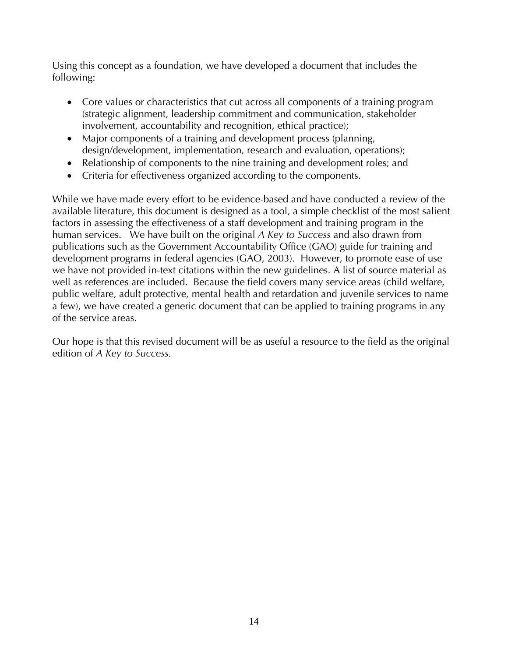Using this concept as a foundation, we have developed a document that includes the following:

- Core values or characteristics that cut across all components of a training program (strategic alignment, leadership commitment and communication, stakeholder involvement, accountability and recognition, ethical practice);
- Major components of a training and development process (planning, design/development, implementation, research and evaluation, operations);
- Relationship of components to the nine training and development roles; and
- Criteria for effectiveness organized according to the components.

While we have made every effort to be evidence-based and have conducted a review of the available literature, this document is designed as a tool, a simple checklist of the most salient factors in assessing the effectiveness of a staff development and training program in the human services. We have built on the original *A Key to Success* and also drawn from publications such as the Government Accountability Office (GAO) guide for training and development programs in federal agencies (GAO, 2003). However, to promote ease of use we have not provided in-text citations within the new guidelines. A list of source material as well as references are included. Because the field covers many service areas (child welfare, public welfare, adult protective, mental health and retardation and juvenile services to name a few), we have created a generic document that can be applied to training programs in any of the service areas.

Our hope is that this revised document will be as useful a resource to the field as the original edition of *A Key to Success.*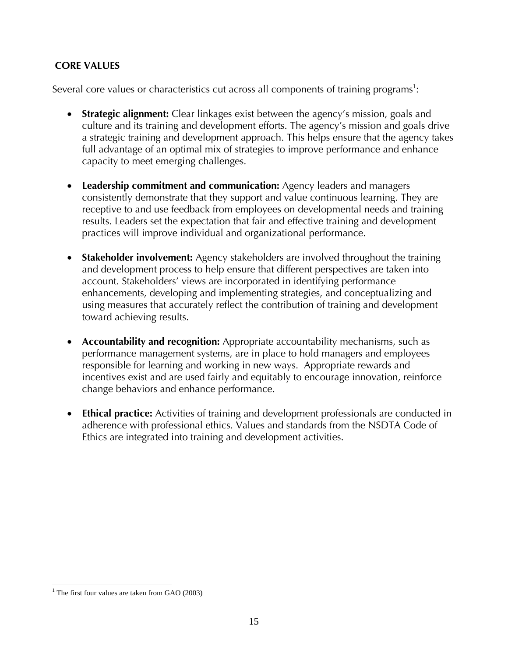#### **CORE VALUES**

Several core values or characteristics cut across all components of training programs<sup>1</sup>:

- **Strategic alignment:** Clear linkages exist between the agency's mission, goals and culture and its training and development efforts. The agency's mission and goals drive a strategic training and development approach. This helps ensure that the agency takes full advantage of an optimal mix of strategies to improve performance and enhance capacity to meet emerging challenges.
- **Leadership commitment and communication:** Agency leaders and managers consistently demonstrate that they support and value continuous learning. They are receptive to and use feedback from employees on developmental needs and training results. Leaders set the expectation that fair and effective training and development practices will improve individual and organizational performance.
- **Stakeholder involvement:** Agency stakeholders are involved throughout the training and development process to help ensure that different perspectives are taken into account. Stakeholders' views are incorporated in identifying performance enhancements, developing and implementing strategies, and conceptualizing and using measures that accurately reflect the contribution of training and development toward achieving results.
- **Accountability and recognition:** Appropriate accountability mechanisms, such as performance management systems, are in place to hold managers and employees responsible for learning and working in new ways. Appropriate rewards and incentives exist and are used fairly and equitably to encourage innovation, reinforce change behaviors and enhance performance.
- **Ethical practice:** Activities of training and development professionals are conducted in adherence with professional ethics. Values and standards from the NSDTA Code of Ethics are integrated into training and development activities.

<sup>1</sup> <sup>1</sup> The first four values are taken from GAO (2003)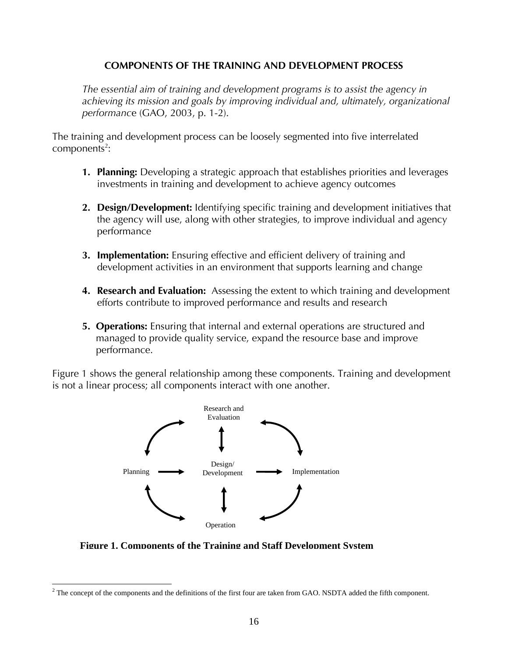#### **COMPONENTS OF THE TRAINING AND DEVELOPMENT PROCESS**

The essential aim of training and development programs is to assist the agency in *achieving its mission and goals by improving individual and, ultimately, organizational performanc*e (GAO, 2003, p. 1-2).

The training and development process can be loosely segmented into five interrelated  $components<sup>2</sup>$ :

- **1. Planning:** Developing a strategic approach that establishes priorities and leverages investments in training and development to achieve agency outcomes
- **2. Design/Development:** Identifying specific training and development initiatives that the agency will use, along with other strategies, to improve individual and agency performance
- **3. Implementation:** Ensuring effective and efficient delivery of training and development activities in an environment that supports learning and change
- **4. Research and Evaluation:** Assessing the extent to which training and development efforts contribute to improved performance and results and research
- **5. Operations:** Ensuring that internal and external operations are structured and managed to provide quality service, expand the resource base and improve performance.

Figure 1 shows the general relationship among these components. Training and development is not a linear process; all components interact with one another.



**Figure 1. Components of the Training and Staff Development System**

<sup>1</sup>  $2^2$  The concept of the components and the definitions of the first four are taken from GAO. NSDTA added the fifth component.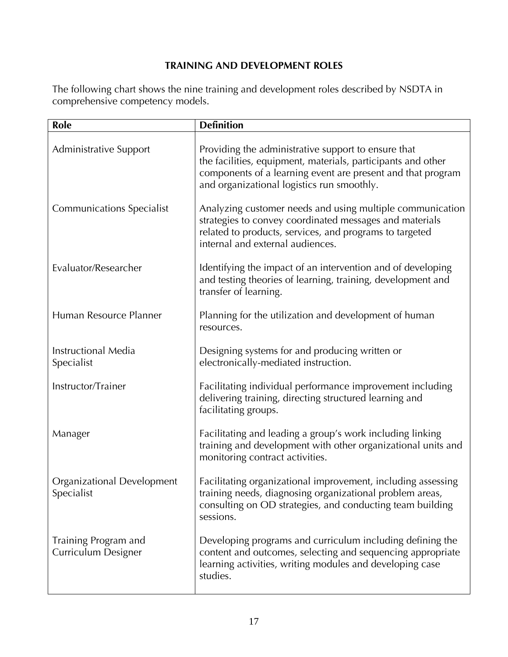# **TRAINING AND DEVELOPMENT ROLES**

The following chart shows the nine training and development roles described by NSDTA in comprehensive competency models.

| Role                                        | <b>Definition</b>                                                                                                                                                                                                                |
|---------------------------------------------|----------------------------------------------------------------------------------------------------------------------------------------------------------------------------------------------------------------------------------|
| Administrative Support                      | Providing the administrative support to ensure that<br>the facilities, equipment, materials, participants and other<br>components of a learning event are present and that program<br>and organizational logistics run smoothly. |
| <b>Communications Specialist</b>            | Analyzing customer needs and using multiple communication<br>strategies to convey coordinated messages and materials<br>related to products, services, and programs to targeted<br>internal and external audiences.              |
| Evaluator/Researcher                        | Identifying the impact of an intervention and of developing<br>and testing theories of learning, training, development and<br>transfer of learning.                                                                              |
| Human Resource Planner                      | Planning for the utilization and development of human<br>resources.                                                                                                                                                              |
| Instructional Media<br>Specialist           | Designing systems for and producing written or<br>electronically-mediated instruction.                                                                                                                                           |
| Instructor/Trainer                          | Facilitating individual performance improvement including<br>delivering training, directing structured learning and<br>facilitating groups.                                                                                      |
| Manager                                     | Facilitating and leading a group's work including linking<br>training and development with other organizational units and<br>monitoring contract activities.                                                                     |
| Organizational Development<br>Specialist    | Facilitating organizational improvement, including assessing<br>training needs, diagnosing organizational problem areas,<br>consulting on OD strategies, and conducting team building<br>sessions.                               |
| Training Program and<br>Curriculum Designer | Developing programs and curriculum including defining the<br>content and outcomes, selecting and sequencing appropriate<br>learning activities, writing modules and developing case<br>studies.                                  |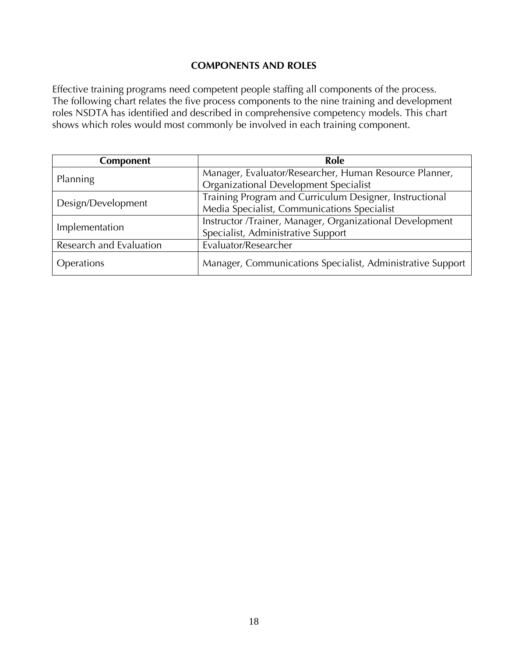#### **COMPONENTS AND ROLES**

Effective training programs need competent people staffing all components of the process. The following chart relates the five process components to the nine training and development roles NSDTA has identified and described in comprehensive competency models. This chart shows which roles would most commonly be involved in each training component.

| <b>Component</b>        | Role                                                       |
|-------------------------|------------------------------------------------------------|
| Planning                | Manager, Evaluator/Researcher, Human Resource Planner,     |
|                         | Organizational Development Specialist                      |
| Design/Development      | Training Program and Curriculum Designer, Instructional    |
|                         | Media Specialist, Communications Specialist                |
| Implementation          | Instructor /Trainer, Manager, Organizational Development   |
|                         | Specialist, Administrative Support                         |
| Research and Evaluation | Evaluator/Researcher                                       |
| Operations              | Manager, Communications Specialist, Administrative Support |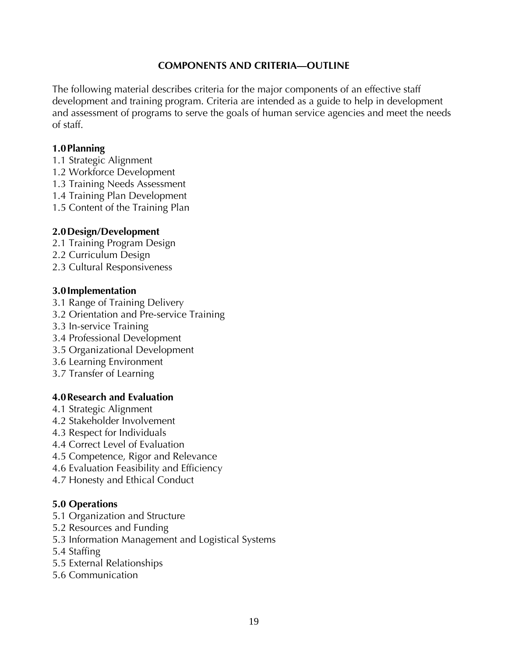#### **COMPONENTS AND CRITERIA—OUTLINE**

The following material describes criteria for the major components of an effective staff development and training program. Criteria are intended as a guide to help in development and assessment of programs to serve the goals of human service agencies and meet the needs of staff.

#### **1.0Planning**

- 1.1 Strategic Alignment
- 1.2 Workforce Development
- 1.3 Training Needs Assessment
- 1.4 Training Plan Development
- 1.5 Content of the Training Plan

#### **2.0Design/Development**

- 2.1 Training Program Design
- 2.2 Curriculum Design
- 2.3 Cultural Responsiveness

#### **3.0Implementation**

- 3.1 Range of Training Delivery
- 3.2 Orientation and Pre-service Training
- 3.3 In-service Training
- 3.4 Professional Development
- 3.5 Organizational Development
- 3.6 Learning Environment
- 3.7 Transfer of Learning

#### **4.0Research and Evaluation**

- 4.1 Strategic Alignment
- 4.2 Stakeholder Involvement
- 4.3 Respect for Individuals
- 4.4 Correct Level of Evaluation
- 4.5 Competence, Rigor and Relevance
- 4.6 Evaluation Feasibility and Efficiency
- 4.7 Honesty and Ethical Conduct

#### **5.0 Operations**

- 5.1 Organization and Structure
- 5.2 Resources and Funding
- 5.3 Information Management and Logistical Systems
- 5.4 Staffing
- 5.5 External Relationships
- 5.6 Communication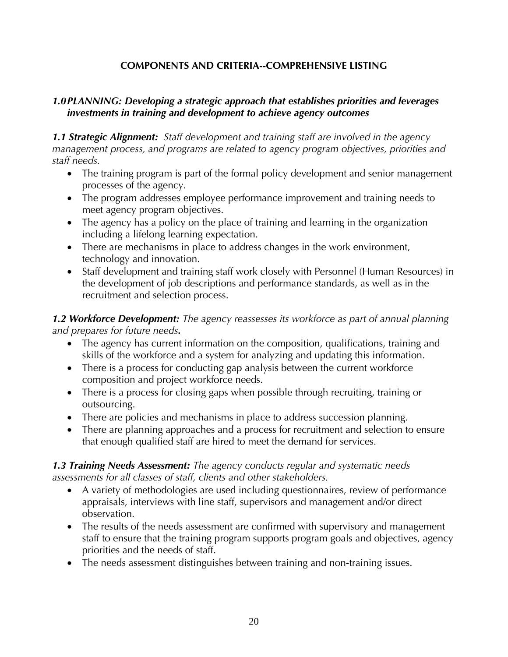#### **COMPONENTS AND CRITERIA--COMPREHENSIVE LISTING**

#### *1.0PLANNING: Developing a strategic approach that establishes priorities and leverages investments in training and development to achieve agency outcomes*

*1.1 Strategic Alignment: Staff development and training staff are involved in the agency management process, and programs are related to agency program objectives, priorities and staff needs.* 

- The training program is part of the formal policy development and senior management processes of the agency.
- The program addresses employee performance improvement and training needs to meet agency program objectives.
- The agency has a policy on the place of training and learning in the organization including a lifelong learning expectation.
- There are mechanisms in place to address changes in the work environment, technology and innovation.
- Staff development and training staff work closely with Personnel (Human Resources) in the development of job descriptions and performance standards, as well as in the recruitment and selection process.

*1.2 Workforce Development: The agency reassesses its workforce as part of annual planning and prepares for future needs.* 

- The agency has current information on the composition, qualifications, training and skills of the workforce and a system for analyzing and updating this information.
- There is a process for conducting gap analysis between the current workforce composition and project workforce needs.
- There is a process for closing gaps when possible through recruiting, training or outsourcing.
- There are policies and mechanisms in place to address succession planning.
- There are planning approaches and a process for recruitment and selection to ensure that enough qualified staff are hired to meet the demand for services.

#### *1.3 Training Needs Assessment: The agency conducts regular and systematic needs assessments for all classes of staff, clients and other stakeholders.*

- A variety of methodologies are used including questionnaires, review of performance appraisals, interviews with line staff, supervisors and management and/or direct observation.
- The results of the needs assessment are confirmed with supervisory and management staff to ensure that the training program supports program goals and objectives, agency priorities and the needs of staff.
- The needs assessment distinguishes between training and non-training issues.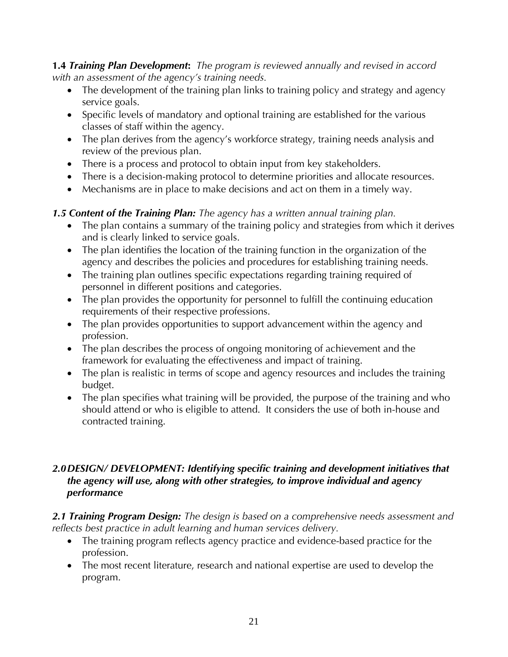**1.4** *Training Plan Development***:** *The program is reviewed annually and revised in accord with an assessment of the agency's training needs.*

- The development of the training plan links to training policy and strategy and agency service goals.
- Specific levels of mandatory and optional training are established for the various classes of staff within the agency.
- The plan derives from the agency's workforce strategy, training needs analysis and review of the previous plan.
- There is a process and protocol to obtain input from key stakeholders.
- There is a decision-making protocol to determine priorities and allocate resources.
- Mechanisms are in place to make decisions and act on them in a timely way.

# *1.5 Content of the Training Plan: The agency has a written annual training plan.*

- The plan contains a summary of the training policy and strategies from which it derives and is clearly linked to service goals.
- The plan identifies the location of the training function in the organization of the agency and describes the policies and procedures for establishing training needs.
- The training plan outlines specific expectations regarding training required of personnel in different positions and categories.
- The plan provides the opportunity for personnel to fulfill the continuing education requirements of their respective professions.
- The plan provides opportunities to support advancement within the agency and profession.
- The plan describes the process of ongoing monitoring of achievement and the framework for evaluating the effectiveness and impact of training.
- The plan is realistic in terms of scope and agency resources and includes the training budget.
- The plan specifies what training will be provided, the purpose of the training and who should attend or who is eligible to attend. It considers the use of both in-house and contracted training.

#### *2.0DESIGN/ DEVELOPMENT: Identifying specific training and development initiatives that the agency will use, along with other strategies, to improve individual and agency performance*

*2.1 Training Program Design: The design is based on a comprehensive needs assessment and reflects best practice in adult learning and human services delivery.* 

- The training program reflects agency practice and evidence-based practice for the profession.
- The most recent literature, research and national expertise are used to develop the program.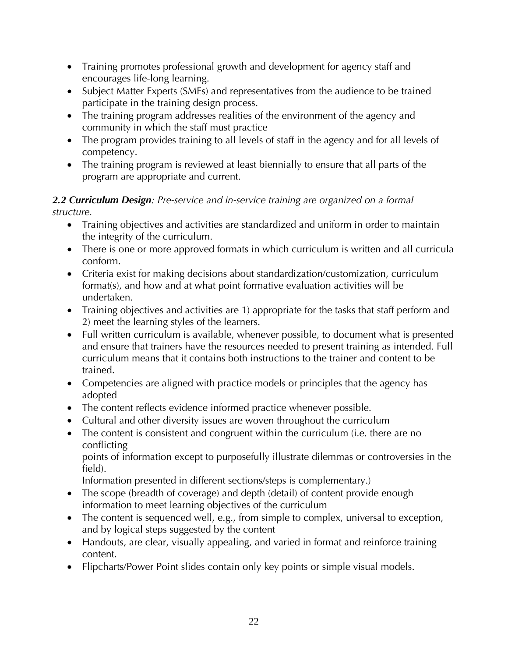- Training promotes professional growth and development for agency staff and encourages life-long learning.
- Subject Matter Experts (SMEs) and representatives from the audience to be trained participate in the training design process.
- The training program addresses realities of the environment of the agency and community in which the staff must practice
- The program provides training to all levels of staff in the agency and for all levels of competency.
- The training program is reviewed at least biennially to ensure that all parts of the program are appropriate and current.

#### *2.2 Curriculum Design: Pre-service and in-service training are organized on a formal structure.*

- Training objectives and activities are standardized and uniform in order to maintain the integrity of the curriculum.
- There is one or more approved formats in which curriculum is written and all curricula conform.
- Criteria exist for making decisions about standardization/customization, curriculum format(s), and how and at what point formative evaluation activities will be undertaken.
- Training objectives and activities are 1) appropriate for the tasks that staff perform and 2) meet the learning styles of the learners.
- Full written curriculum is available, whenever possible, to document what is presented and ensure that trainers have the resources needed to present training as intended. Full curriculum means that it contains both instructions to the trainer and content to be trained.
- Competencies are aligned with practice models or principles that the agency has adopted
- The content reflects evidence informed practice whenever possible.
- Cultural and other diversity issues are woven throughout the curriculum
- The content is consistent and congruent within the curriculum (i.e. there are no conflicting

points of information except to purposefully illustrate dilemmas or controversies in the field).

Information presented in different sections/steps is complementary.)

- The scope (breadth of coverage) and depth (detail) of content provide enough information to meet learning objectives of the curriculum
- The content is sequenced well, e.g., from simple to complex, universal to exception, and by logical steps suggested by the content
- Handouts, are clear, visually appealing, and varied in format and reinforce training content.
- Flipcharts/Power Point slides contain only key points or simple visual models.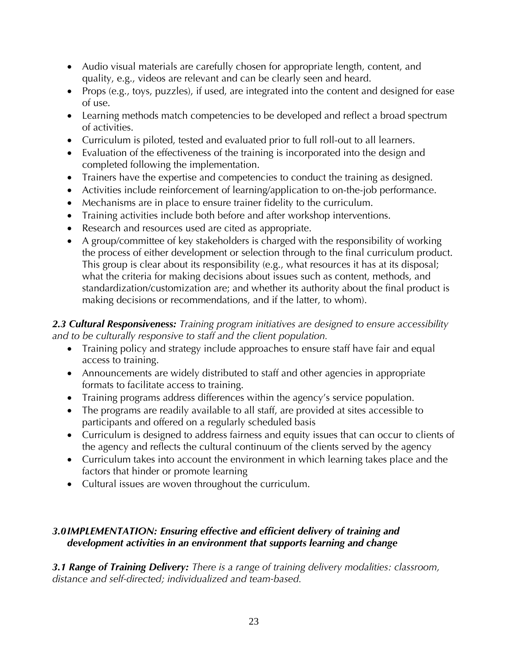- Audio visual materials are carefully chosen for appropriate length, content, and quality, e.g., videos are relevant and can be clearly seen and heard.
- Props (e.g., toys, puzzles), if used, are integrated into the content and designed for ease of use.
- Learning methods match competencies to be developed and reflect a broad spectrum of activities.
- Curriculum is piloted, tested and evaluated prior to full roll-out to all learners.
- Evaluation of the effectiveness of the training is incorporated into the design and completed following the implementation.
- Trainers have the expertise and competencies to conduct the training as designed.
- Activities include reinforcement of learning/application to on-the-job performance.
- Mechanisms are in place to ensure trainer fidelity to the curriculum.
- Training activities include both before and after workshop interventions.
- Research and resources used are cited as appropriate.
- A group/committee of key stakeholders is charged with the responsibility of working the process of either development or selection through to the final curriculum product. This group is clear about its responsibility (e.g., what resources it has at its disposal; what the criteria for making decisions about issues such as content, methods, and standardization/customization are; and whether its authority about the final product is making decisions or recommendations, and if the latter, to whom).

#### *2.3 Cultural Responsiveness: Training program initiatives are designed to ensure accessibility and to be culturally responsive to staff and the client population.*

- Training policy and strategy include approaches to ensure staff have fair and equal access to training.
- Announcements are widely distributed to staff and other agencies in appropriate formats to facilitate access to training.
- Training programs address differences within the agency's service population.
- The programs are readily available to all staff, are provided at sites accessible to participants and offered on a regularly scheduled basis
- Curriculum is designed to address fairness and equity issues that can occur to clients of the agency and reflects the cultural continuum of the clients served by the agency
- Curriculum takes into account the environment in which learning takes place and the factors that hinder or promote learning
- Cultural issues are woven throughout the curriculum.

# *3.0IMPLEMENTATION: Ensuring effective and efficient delivery of training and development activities in an environment that supports learning and change*

*3.1 Range of Training Delivery: There is a range of training delivery modalities: classroom, distance and self-directed; individualized and team-based.*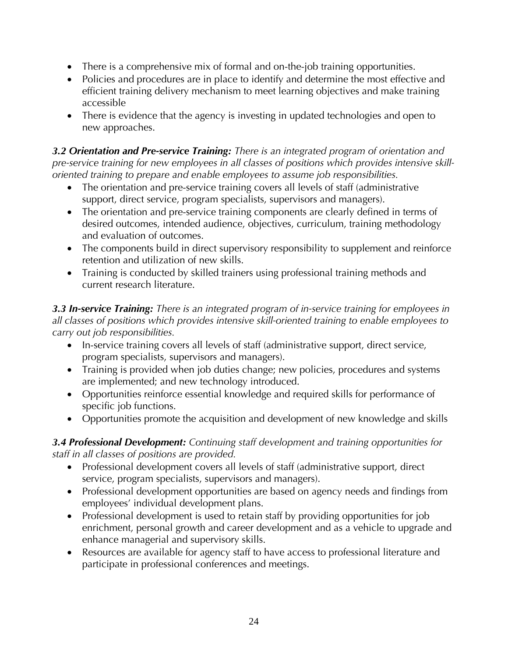- There is a comprehensive mix of formal and on-the-job training opportunities.
- Policies and procedures are in place to identify and determine the most effective and efficient training delivery mechanism to meet learning objectives and make training accessible
- There is evidence that the agency is investing in updated technologies and open to new approaches.

*3.2 Orientation and Pre-service Training: There is an integrated program of orientation and pre-service training for new employees in all classes of positions which provides intensive skilloriented training to prepare and enable employees to assume job responsibilities.* 

- The orientation and pre-service training covers all levels of staff (administrative support, direct service, program specialists, supervisors and managers).
- The orientation and pre-service training components are clearly defined in terms of desired outcomes, intended audience, objectives, curriculum, training methodology and evaluation of outcomes.
- The components build in direct supervisory responsibility to supplement and reinforce retention and utilization of new skills.
- Training is conducted by skilled trainers using professional training methods and current research literature.

*3.3 In-service Training: There is an integrated program of in-service training for employees in all classes of positions which provides intensive skill-oriented training to enable employees to carry out job responsibilities.* 

- In-service training covers all levels of staff (administrative support, direct service, program specialists, supervisors and managers).
- Training is provided when job duties change; new policies, procedures and systems are implemented; and new technology introduced.
- Opportunities reinforce essential knowledge and required skills for performance of specific job functions.
- Opportunities promote the acquisition and development of new knowledge and skills

#### *3.4 Professional Development: Continuing staff development and training opportunities for staff in all classes of positions are provided.*

- Professional development covers all levels of staff (administrative support, direct service, program specialists, supervisors and managers).
- Professional development opportunities are based on agency needs and findings from employees' individual development plans.
- Professional development is used to retain staff by providing opportunities for job enrichment, personal growth and career development and as a vehicle to upgrade and enhance managerial and supervisory skills.
- Resources are available for agency staff to have access to professional literature and participate in professional conferences and meetings.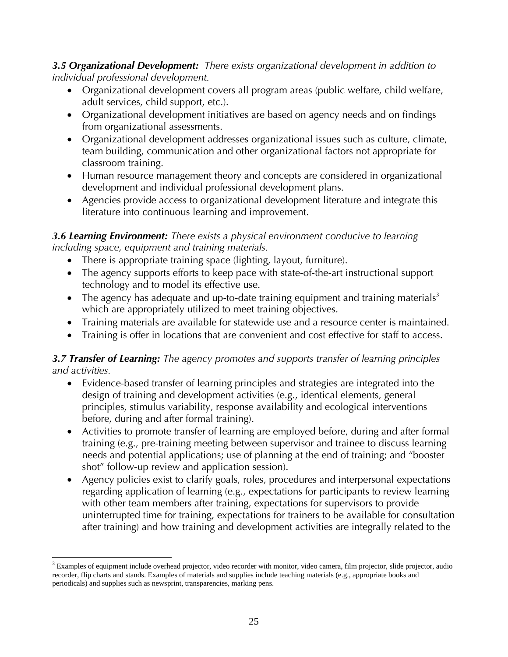*3.5 Organizational Development:**There exists organizational development in addition to individual professional development.* 

- Organizational development covers all program areas (public welfare, child welfare, adult services, child support, etc.).
- Organizational development initiatives are based on agency needs and on findings from organizational assessments.
- Organizational development addresses organizational issues such as culture, climate, team building, communication and other organizational factors not appropriate for classroom training.
- Human resource management theory and concepts are considered in organizational development and individual professional development plans.
- Agencies provide access to organizational development literature and integrate this literature into continuous learning and improvement.

#### *3.6 Learning Environment: There exists a physical environment conducive to learning including space, equipment and training materials.*

- There is appropriate training space (lighting, layout, furniture).
- The agency supports efforts to keep pace with state-of-the-art instructional support technology and to model its effective use.
- The agency has adequate and up-to-date training equipment and training materials<sup>3</sup> which are appropriately utilized to meet training objectives.
- Training materials are available for statewide use and a resource center is maintained.
- Training is offer in locations that are convenient and cost effective for staff to access.

## *3.7 Transfer of Learning: The agency promotes and supports transfer of learning principles and activities.*

- Evidence-based transfer of learning principles and strategies are integrated into the design of training and development activities (e.g., identical elements, general principles, stimulus variability, response availability and ecological interventions before, during and after formal training).
- Activities to promote transfer of learning are employed before, during and after formal training (e.g., pre-training meeting between supervisor and trainee to discuss learning needs and potential applications; use of planning at the end of training; and "booster shot" follow-up review and application session).
- Agency policies exist to clarify goals, roles, procedures and interpersonal expectations regarding application of learning (e.g., expectations for participants to review learning with other team members after training, expectations for supervisors to provide uninterrupted time for training, expectations for trainers to be available for consultation after training) and how training and development activities are integrally related to the

<sup>1</sup> <sup>3</sup> Examples of equipment include overhead projector, video recorder with monitor, video camera, film projector, slide projector, audio recorder, flip charts and stands. Examples of materials and supplies include teaching materials (e.g., appropriate books and periodicals) and supplies such as newsprint, transparencies, marking pens.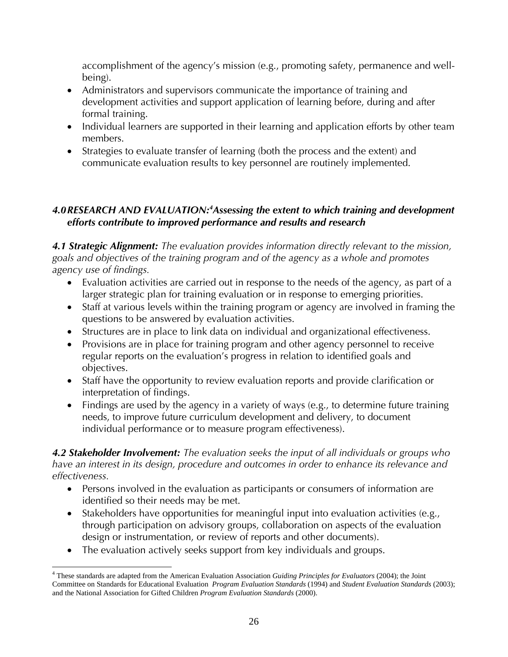accomplishment of the agency's mission (e.g., promoting safety, permanence and wellbeing).

- Administrators and supervisors communicate the importance of training and development activities and support application of learning before, during and after formal training.
- Individual learners are supported in their learning and application efforts by other team members.
- Strategies to evaluate transfer of learning (both the process and the extent) and communicate evaluation results to key personnel are routinely implemented.

#### *4.0RESEARCH AND EVALUATION:4 Assessing the extent to which training and development efforts contribute to improved performance and results and research*

*4.1 Strategic Alignment: The evaluation provides information directly relevant to the mission, goals and objectives of the training program and of the agency as a whole and promotes agency use of findings.*

- Evaluation activities are carried out in response to the needs of the agency, as part of a larger strategic plan for training evaluation or in response to emerging priorities.
- Staff at various levels within the training program or agency are involved in framing the questions to be answered by evaluation activities.
- Structures are in place to link data on individual and organizational effectiveness.
- Provisions are in place for training program and other agency personnel to receive regular reports on the evaluation's progress in relation to identified goals and objectives.
- Staff have the opportunity to review evaluation reports and provide clarification or interpretation of findings.
- Findings are used by the agency in a variety of ways (e.g., to determine future training needs, to improve future curriculum development and delivery, to document individual performance or to measure program effectiveness).

*4.2 Stakeholder Involvement: The evaluation seeks the input of all individuals or groups who have an interest in its design, procedure and outcomes in order to enhance its relevance and effectiveness.* 

- Persons involved in the evaluation as participants or consumers of information are identified so their needs may be met.
- Stakeholders have opportunities for meaningful input into evaluation activities (e.g., through participation on advisory groups, collaboration on aspects of the evaluation design or instrumentation, or review of reports and other documents).
- The evaluation actively seeks support from key individuals and groups.

 $\overline{a}$ 

<sup>4</sup> These standards are adapted from the American Evaluation Association *Guiding Principles for Evaluators* (2004); the Joint Committee on Standards for Educational Evaluation *Program Evaluation Standards* (1994) and *Student Evaluation Standards* (2003); and the National Association for Gifted Children *Program Evaluation Standards* (2000).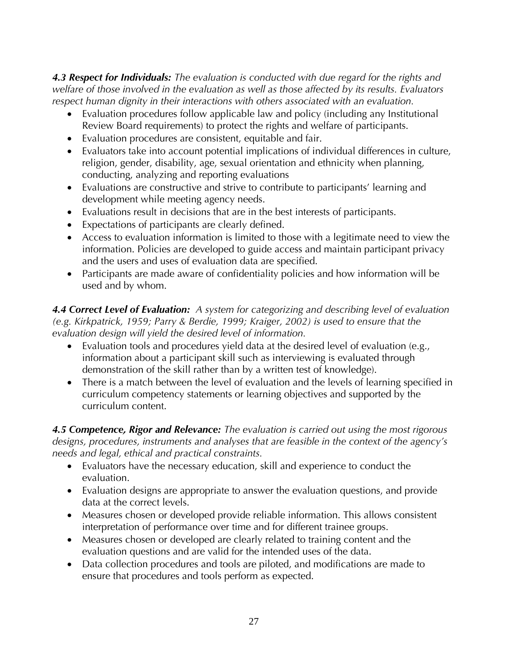*4.3 Respect for Individuals: The evaluation is conducted with due regard for the rights and welfare of those involved in the evaluation as well as those affected by its results. Evaluators respect human dignity in their interactions with others associated with an evaluation.*

- Evaluation procedures follow applicable law and policy (including any Institutional Review Board requirements) to protect the rights and welfare of participants.
- Evaluation procedures are consistent, equitable and fair.
- Evaluators take into account potential implications of individual differences in culture, religion, gender, disability, age, sexual orientation and ethnicity when planning, conducting, analyzing and reporting evaluations
- Evaluations are constructive and strive to contribute to participants' learning and development while meeting agency needs.
- Evaluations result in decisions that are in the best interests of participants.
- Expectations of participants are clearly defined.
- Access to evaluation information is limited to those with a legitimate need to view the information. Policies are developed to guide access and maintain participant privacy and the users and uses of evaluation data are specified.
- Participants are made aware of confidentiality policies and how information will be used and by whom.

*4.4 Correct Level of Evaluation: A system for categorizing and describing level of evaluation (e.g. Kirkpatrick, 1959; Parry & Berdie, 1999; Kraiger, 2002) is used to ensure that the evaluation design will yield the desired level of information.* 

- Evaluation tools and procedures yield data at the desired level of evaluation (e.g., information about a participant skill such as interviewing is evaluated through demonstration of the skill rather than by a written test of knowledge).
- There is a match between the level of evaluation and the levels of learning specified in curriculum competency statements or learning objectives and supported by the curriculum content.

*4.5 Competence, Rigor and Relevance: The evaluation is carried out using the most rigorous designs, procedures, instruments and analyses that are feasible in the context of the agency's needs and legal, ethical and practical constraints.* 

- Evaluators have the necessary education, skill and experience to conduct the evaluation.
- Evaluation designs are appropriate to answer the evaluation questions, and provide data at the correct levels.
- Measures chosen or developed provide reliable information. This allows consistent interpretation of performance over time and for different trainee groups.
- Measures chosen or developed are clearly related to training content and the evaluation questions and are valid for the intended uses of the data.
- Data collection procedures and tools are piloted, and modifications are made to ensure that procedures and tools perform as expected.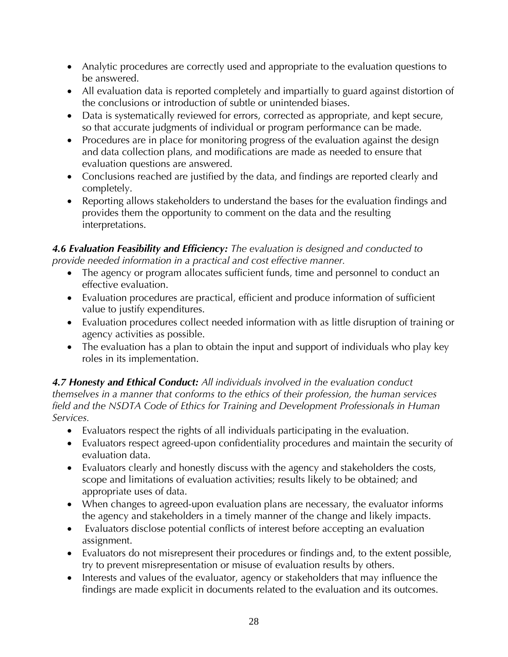- Analytic procedures are correctly used and appropriate to the evaluation questions to be answered.
- All evaluation data is reported completely and impartially to guard against distortion of the conclusions or introduction of subtle or unintended biases.
- Data is systematically reviewed for errors, corrected as appropriate, and kept secure, so that accurate judgments of individual or program performance can be made.
- Procedures are in place for monitoring progress of the evaluation against the design and data collection plans, and modifications are made as needed to ensure that evaluation questions are answered.
- Conclusions reached are justified by the data, and findings are reported clearly and completely.
- Reporting allows stakeholders to understand the bases for the evaluation findings and provides them the opportunity to comment on the data and the resulting interpretations.

#### *4.6 Evaluation Feasibility and Efficiency: The evaluation is designed and conducted to provide needed information in a practical and cost effective manner.*

- The agency or program allocates sufficient funds, time and personnel to conduct an effective evaluation.
- Evaluation procedures are practical, efficient and produce information of sufficient value to justify expenditures.
- Evaluation procedures collect needed information with as little disruption of training or agency activities as possible.
- The evaluation has a plan to obtain the input and support of individuals who play key roles in its implementation.

#### *4.7 Honesty and Ethical Conduct: All individuals involved in the evaluation conduct themselves in a manner that conforms to the ethics of their profession, the human services field and the NSDTA Code of Ethics for Training and Development Professionals in Human Services.*

- Evaluators respect the rights of all individuals participating in the evaluation.
- Evaluators respect agreed-upon confidentiality procedures and maintain the security of evaluation data.
- Evaluators clearly and honestly discuss with the agency and stakeholders the costs, scope and limitations of evaluation activities; results likely to be obtained; and appropriate uses of data.
- When changes to agreed-upon evaluation plans are necessary, the evaluator informs the agency and stakeholders in a timely manner of the change and likely impacts.
- Evaluators disclose potential conflicts of interest before accepting an evaluation assignment.
- Evaluators do not misrepresent their procedures or findings and, to the extent possible, try to prevent misrepresentation or misuse of evaluation results by others.
- Interests and values of the evaluator, agency or stakeholders that may influence the findings are made explicit in documents related to the evaluation and its outcomes.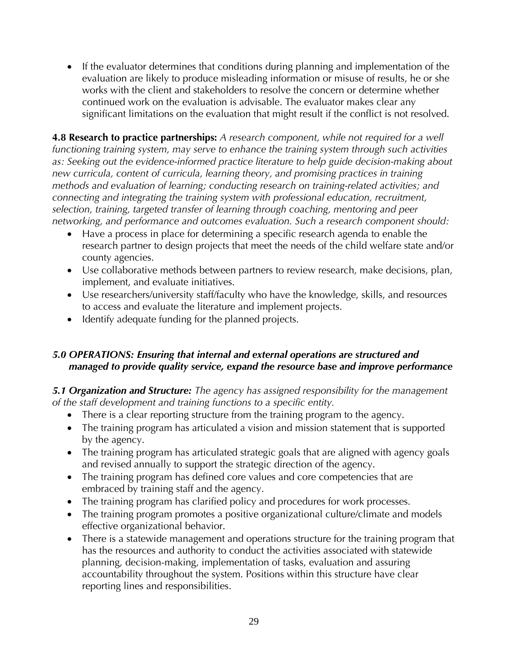• If the evaluator determines that conditions during planning and implementation of the evaluation are likely to produce misleading information or misuse of results, he or she works with the client and stakeholders to resolve the concern or determine whether continued work on the evaluation is advisable. The evaluator makes clear any significant limitations on the evaluation that might result if the conflict is not resolved.

**4.8 Research to practice partnerships:** *A research component, while not required for a well functioning training system, may serve to enhance the training system through such activities as: Seeking out the evidence‐informed practice literature to help guide decision‐making about new curricula, content of curricula, learning theory, and promising practices in training methods and evaluation of learning; conducting research on training‐related activities; and connecting and integrating the training system with professional education, recruitment, selection, training, targeted transfer of learning through coaching, mentoring and peer networking, and performance and outcomes evaluation. Such a research component should:* 

- Have a process in place for determining a specific research agenda to enable the research partner to design projects that meet the needs of the child welfare state and/or county agencies.
- Use collaborative methods between partners to review research, make decisions, plan, implement, and evaluate initiatives.
- Use researchers/university staff/faculty who have the knowledge, skills, and resources to access and evaluate the literature and implement projects.
- Identify adequate funding for the planned projects.

## *5.0 OPERATIONS: Ensuring that internal and external operations are structured and managed to provide quality service, expand the resource base and improve performance*

*5.1 Organization and Structure: The agency has assigned responsibility for the management of the staff development and training functions to a specific entity.* 

- There is a clear reporting structure from the training program to the agency.
- The training program has articulated a vision and mission statement that is supported by the agency.
- The training program has articulated strategic goals that are aligned with agency goals and revised annually to support the strategic direction of the agency.
- The training program has defined core values and core competencies that are embraced by training staff and the agency.
- The training program has clarified policy and procedures for work processes.
- The training program promotes a positive organizational culture/climate and models effective organizational behavior.
- There is a statewide management and operations structure for the training program that has the resources and authority to conduct the activities associated with statewide planning, decision-making, implementation of tasks, evaluation and assuring accountability throughout the system. Positions within this structure have clear reporting lines and responsibilities.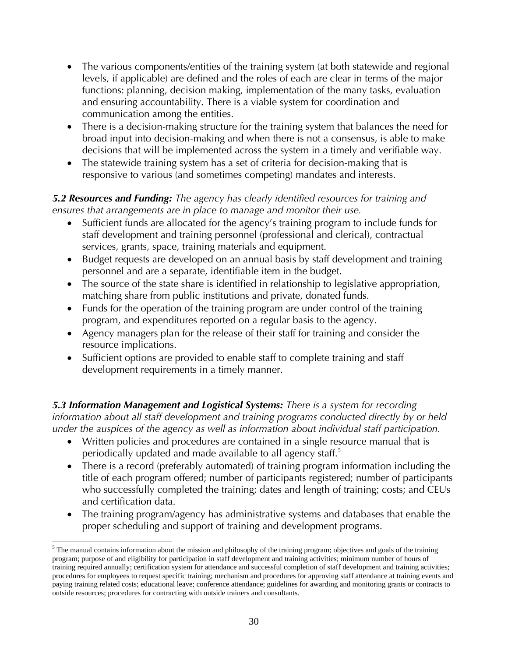- The various components/entities of the training system (at both statewide and regional levels, if applicable) are defined and the roles of each are clear in terms of the major functions: planning, decision making, implementation of the many tasks, evaluation and ensuring accountability. There is a viable system for coordination and communication among the entities.
- There is a decision-making structure for the training system that balances the need for broad input into decision-making and when there is not a consensus, is able to make decisions that will be implemented across the system in a timely and verifiable way.
- The statewide training system has a set of criteria for decision-making that is responsive to various (and sometimes competing) mandates and interests.

#### *5.2 Resources and Funding: The agency has clearly identified resources for training and ensures that arrangements are in place to manage and monitor their use.*

- Sufficient funds are allocated for the agency's training program to include funds for staff development and training personnel (professional and clerical), contractual services, grants, space, training materials and equipment.
- Budget requests are developed on an annual basis by staff development and training personnel and are a separate, identifiable item in the budget.
- The source of the state share is identified in relationship to legislative appropriation, matching share from public institutions and private, donated funds.
- Funds for the operation of the training program are under control of the training program, and expenditures reported on a regular basis to the agency.
- Agency managers plan for the release of their staff for training and consider the resource implications.
- Sufficient options are provided to enable staff to complete training and staff development requirements in a timely manner.

*5.3 Information Management and Logistical Systems: There is a system for recording information about all staff development and training programs conducted directly by or held under the auspices of the agency as well as information about individual staff participation.* 

- Written policies and procedures are contained in a single resource manual that is periodically updated and made available to all agency staff.<sup>5</sup>
- There is a record (preferably automated) of training program information including the title of each program offered; number of participants registered; number of participants who successfully completed the training; dates and length of training; costs; and CEUs and certification data.
- The training program/agency has administrative systems and databases that enable the proper scheduling and support of training and development programs.

 $\overline{a}$ 

 $<sup>5</sup>$  The manual contains information about the mission and philosophy of the training program; objectives and goals of the training</sup> program; purpose of and eligibility for participation in staff development and training activities; minimum number of hours of training required annually; certification system for attendance and successful completion of staff development and training activities; procedures for employees to request specific training; mechanism and procedures for approving staff attendance at training events and paying training related costs; educational leave; conference attendance; guidelines for awarding and monitoring grants or contracts to outside resources; procedures for contracting with outside trainers and consultants.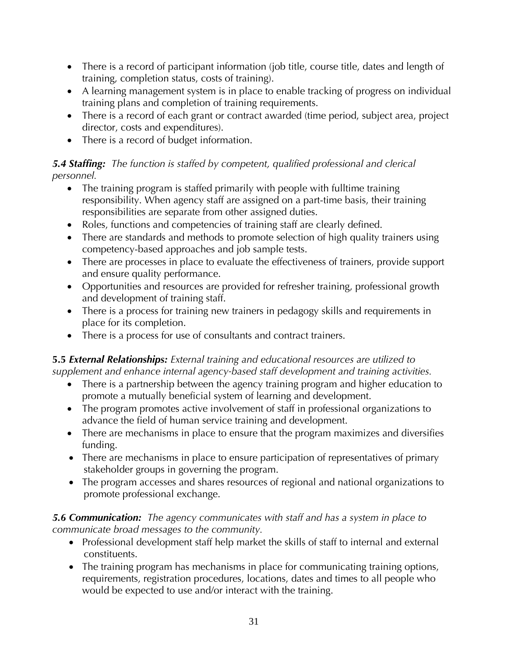- There is a record of participant information (job title, course title, dates and length of training, completion status, costs of training).
- A learning management system is in place to enable tracking of progress on individual training plans and completion of training requirements.
- There is a record of each grant or contract awarded (time period, subject area, project director, costs and expenditures).
- There is a record of budget information.

# *5.4 Staffing: The function is staffed by competent, qualified professional and clerical personnel.*

- The training program is staffed primarily with people with fulltime training responsibility. When agency staff are assigned on a part-time basis, their training responsibilities are separate from other assigned duties.
- Roles, functions and competencies of training staff are clearly defined.
- There are standards and methods to promote selection of high quality trainers using competency-based approaches and job sample tests.
- There are processes in place to evaluate the effectiveness of trainers, provide support and ensure quality performance.
- Opportunities and resources are provided for refresher training, professional growth and development of training staff.
- There is a process for training new trainers in pedagogy skills and requirements in place for its completion.
- There is a process for use of consultants and contract trainers.

# **5.5** *External Relationships: External training and educational resources are utilized to supplement and enhance internal agency-based staff development and training activities.*

- There is a partnership between the agency training program and higher education to promote a mutually beneficial system of learning and development.
- The program promotes active involvement of staff in professional organizations to advance the field of human service training and development.
- There are mechanisms in place to ensure that the program maximizes and diversifies funding.
- There are mechanisms in place to ensure participation of representatives of primary stakeholder groups in governing the program.
- The program accesses and shares resources of regional and national organizations to promote professional exchange.

#### *5.6 Communication: The agency communicates with staff and has a system in place to communicate broad messages to the community.*

- Professional development staff help market the skills of staff to internal and external constituents.
- The training program has mechanisms in place for communicating training options, requirements, registration procedures, locations, dates and times to all people who would be expected to use and/or interact with the training.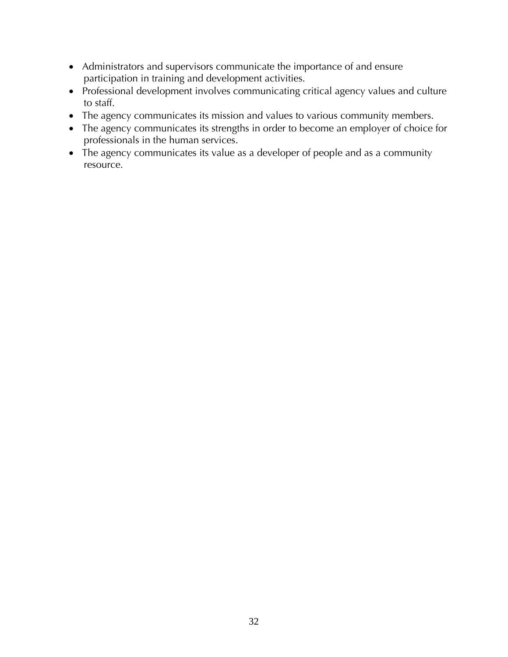- Administrators and supervisors communicate the importance of and ensure participation in training and development activities.
- Professional development involves communicating critical agency values and culture to staff.
- The agency communicates its mission and values to various community members.
- The agency communicates its strengths in order to become an employer of choice for professionals in the human services.
- The agency communicates its value as a developer of people and as a community resource.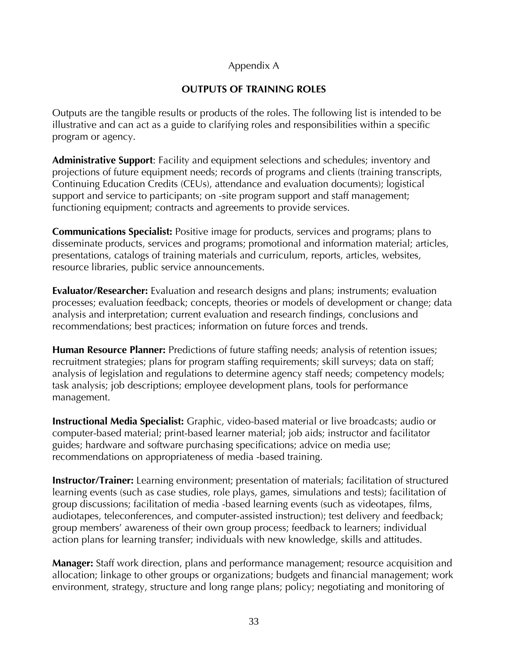#### Appendix A

#### **OUTPUTS OF TRAINING ROLES**

Outputs are the tangible results or products of the roles. The following list is intended to be illustrative and can act as a guide to clarifying roles and responsibilities within a specific program or agency.

**Administrative Support**: Facility and equipment selections and schedules; inventory and projections of future equipment needs; records of programs and clients (training transcripts, Continuing Education Credits (CEUs), attendance and evaluation documents); logistical support and service to participants; on -site program support and staff management; functioning equipment; contracts and agreements to provide services.

**Communications Specialist:** Positive image for products, services and programs; plans to disseminate products, services and programs; promotional and information material; articles, presentations, catalogs of training materials and curriculum, reports, articles, websites, resource libraries, public service announcements.

**Evaluator/Researcher:** Evaluation and research designs and plans; instruments; evaluation processes; evaluation feedback; concepts, theories or models of development or change; data analysis and interpretation; current evaluation and research findings, conclusions and recommendations; best practices; information on future forces and trends.

**Human Resource Planner:** Predictions of future staffing needs; analysis of retention issues; recruitment strategies; plans for program staffing requirements; skill surveys; data on staff; analysis of legislation and regulations to determine agency staff needs; competency models; task analysis; job descriptions; employee development plans, tools for performance management.

**Instructional Media Specialist:** Graphic, video-based material or live broadcasts; audio or computer-based material; print-based learner material; job aids; instructor and facilitator guides; hardware and software purchasing specifications; advice on media use; recommendations on appropriateness of media -based training.

**Instructor/Trainer:** Learning environment; presentation of materials; facilitation of structured learning events (such as case studies, role plays, games, simulations and tests); facilitation of group discussions; facilitation of media -based learning events (such as videotapes, films, audiotapes, teleconferences, and computer-assisted instruction); test delivery and feedback; group members' awareness of their own group process; feedback to learners; individual action plans for learning transfer; individuals with new knowledge, skills and attitudes.

**Manager:** Staff work direction, plans and performance management; resource acquisition and allocation; linkage to other groups or organizations; budgets and financial management; work environment, strategy, structure and long range plans; policy; negotiating and monitoring of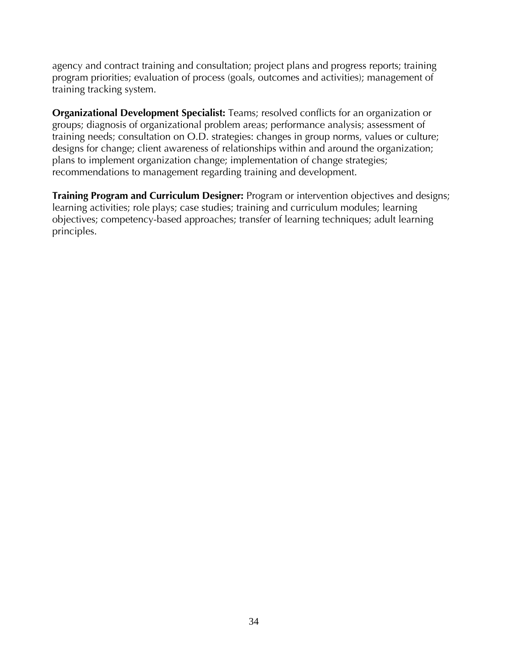agency and contract training and consultation; project plans and progress reports; training program priorities; evaluation of process (goals, outcomes and activities); management of training tracking system.

**Organizational Development Specialist:** Teams; resolved conflicts for an organization or groups; diagnosis of organizational problem areas; performance analysis; assessment of training needs; consultation on O.D. strategies: changes in group norms, values or culture; designs for change; client awareness of relationships within and around the organization; plans to implement organization change; implementation of change strategies; recommendations to management regarding training and development.

**Training Program and Curriculum Designer:** Program or intervention objectives and designs; learning activities; role plays; case studies; training and curriculum modules; learning objectives; competency-based approaches; transfer of learning techniques; adult learning principles.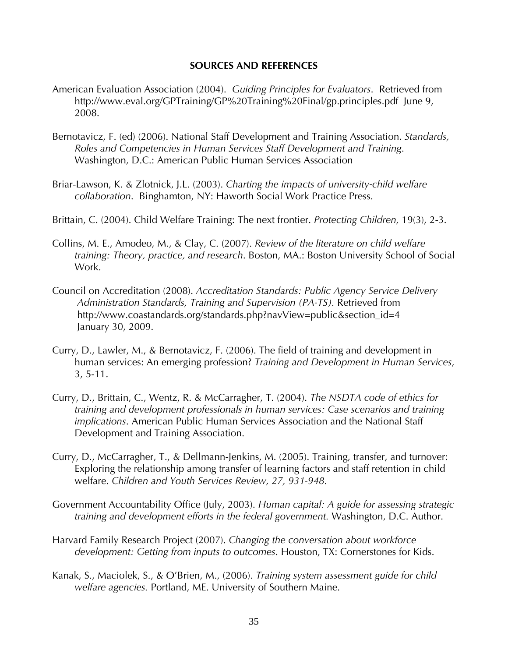#### **SOURCES AND REFERENCES**

- American Evaluation Association (2004). *Guiding Principles for Evaluators*. Retrieved from http://www.eval.org/GPTraining/GP%20Training%20Final/gp.principles.pdf June 9, 2008.
- Bernotavicz, F. (ed) (2006). National Staff Development and Training Association. *Standards, Roles and Competencies in Human Services Staff Development and Training*. Washington, D.C.: American Public Human Services Association
- Briar-Lawson, K. & Zlotnick, J.L. (2003). *Charting the impacts of university-child welfare collaboration*. Binghamton, NY: Haworth Social Work Practice Press.
- Brittain, C. (2004). Child Welfare Training: The next frontier. *Protecting Children,* 19(3), 2-3.
- Collins, M. E., Amodeo, M., & Clay, C. (2007). *Review of the literature on child welfare training: Theory, practice, and research*. Boston, MA.: Boston University School of Social Work.
- Council on Accreditation (2008). *Accreditation Standards: Public Agency Service Delivery Administration Standards, Training and Supervision (PA-TS).* Retrieved from http://www.coastandards.org/standards.php?navView=public&section\_id=4 January 30, 2009.
- Curry, D., Lawler, M., & Bernotavicz, F. (2006). The field of training and development in human services: An emerging profession? *Training and Development in Human Services*, 3, 5-11.
- Curry, D., Brittain, C., Wentz, R. & McCarragher, T. (2004). *The NSDTA code of ethics for training and development professionals in human services: Case scenarios and training implications*. American Public Human Services Association and the National Staff Development and Training Association.
- Curry, D., McCarragher, T., & Dellmann-Jenkins, M. (2005). Training, transfer, and turnover: Exploring the relationship among transfer of learning factors and staff retention in child welfare. *Children and Youth Services Review, 27, 931-948.*
- Government Accountability Office (July, 2003). *Human capital: A guide for assessing strategic training and development efforts in the federal government.* Washington, D.C. Author.
- Harvard Family Research Project (2007). *Changing the conversation about workforce development: Getting from inputs to outcomes*. Houston, TX: Cornerstones for Kids.
- Kanak, S., Maciolek, S., & O'Brien, M., (2006). *Training system assessment guide for child welfare agencies.* Portland, ME. University of Southern Maine.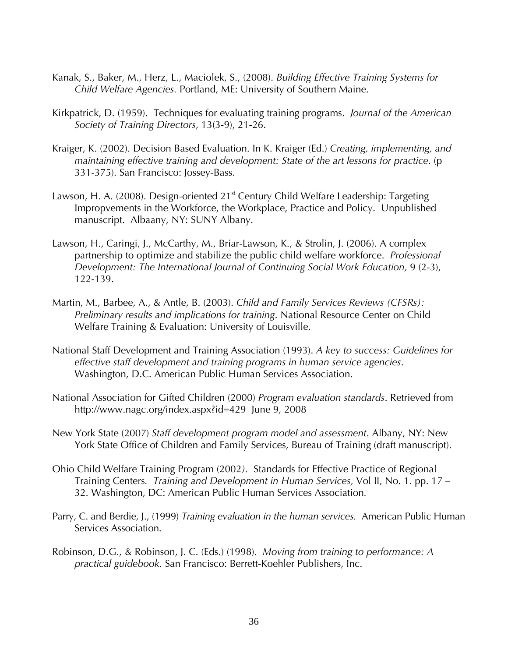- Kanak, S., Baker, M., Herz, L., Maciolek, S., (2008). *Building Effective Training Systems for Child Welfare Agencies.* Portland, ME: University of Southern Maine.
- Kirkpatrick, D. (1959). Techniques for evaluating training programs. *Journal of the American Society of Training Directors*, 13(3-9), 21-26.
- Kraiger, K. (2002). Decision Based Evaluation. In K. Kraiger (Ed.) *Creating, implementing, and maintaining effective training and development: State of the art lessons for practice*. (p 331-375). San Francisco: Jossey-Bass.
- Lawson, H. A. (2008). Design-oriented 21<sup>st</sup> Century Child Welfare Leadership: Targeting Impropvements in the Workforce, the Workplace, Practice and Policy. Unpublished manuscript. Albaany, NY: SUNY Albany.
- Lawson, H., Caringi, J., McCarthy, M., Briar-Lawson, K., & Strolin, J. (2006). A complex partnership to optimize and stabilize the public child welfare workforce. *Professional Development: The International Journal of Continuing Social Work Education,* 9 (2-3), 122-139.
- Martin, M., Barbee, A., & Antle, B. (2003). *Child and Family Services Reviews (CFSRs): Preliminary results and implications for training*. National Resource Center on Child Welfare Training & Evaluation: University of Louisville.
- National Staff Development and Training Association (1993). *A key to success: Guidelines for effective staff development and training programs in human service agencies*. Washington, D.C. American Public Human Services Association.
- National Association for Gifted Children (2000) *Program evaluation standards*. Retrieved from http://www.nagc.org/index.aspx?id=429 June 9, 2008
- New York State (2007) *Staff development program model and assessment*. Albany, NY: New York State Office of Children and Family Services, Bureau of Training (draft manuscript).
- Ohio Child Welfare Training Program (2002*).* Standards for Effective Practice of Regional Training Centers*. Training and Development in Human Services,* Vol II, No. 1. pp. 17 – 32. Washington, DC: American Public Human Services Association*.*
- Parry, C. and Berdie, J., (1999) *Training evaluation in the human services.* American Public Human Services Association.
- Robinson, D.G., & Robinson, J. C. (Eds.) (1998). *Moving from training to performance: A practical guidebook.* San Francisco: Berrett-Koehler Publishers, Inc.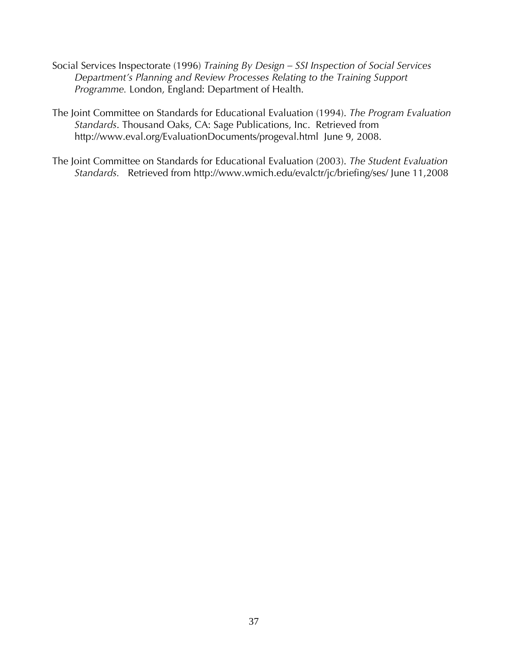- Social Services Inspectorate (1996) *Training By Design SSI Inspection of Social Services Department's Planning and Review Processes Relating to the Training Support Programme.* London, England: Department of Health.
- The Joint Committee on Standards for Educational Evaluation (1994). *The Program Evaluation Standards*. Thousand Oaks, CA: Sage Publications, Inc. Retrieved from http://www.eval.org/EvaluationDocuments/progeval.html June 9, 2008.
- The Joint Committee on Standards for Educational Evaluation (2003). *The Student Evaluation Standards.* Retrieved from http://www.wmich.edu/evalctr/jc/briefing/ses/ June 11,2008